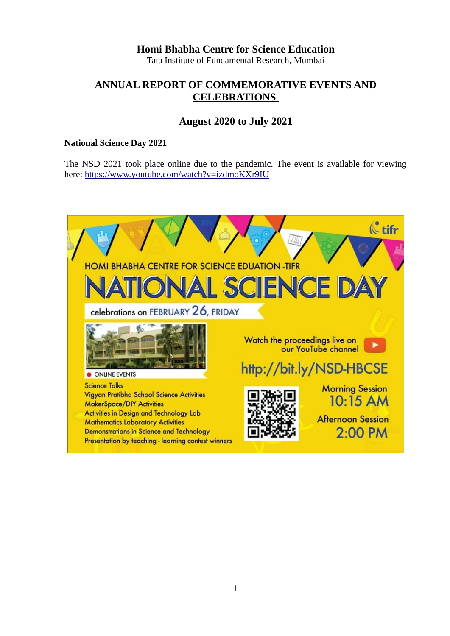**Homi Bhabha Centre for Science Education**

Tata Institute of Fundamental Research, Mumbai

# **ANNUAL REPORT OF COMMEMORATIVE EVENTS AND CELEBRATIONS**

## **August 2020 to July 2021**

### **National Science Day 2021**

The NSD 2021 took place online due to the pandemic. The event is available for viewing here:<https://www.youtube.com/watch?v=izdmoKXr9IU>

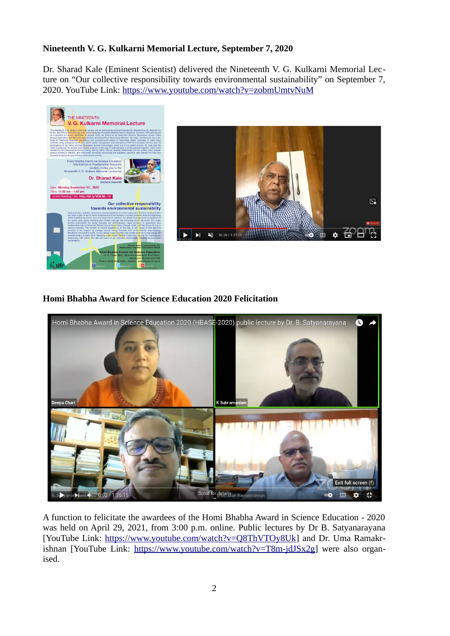### **Nineteenth V. G. Kulkarni Memorial Lecture, September 7, 2020**

Dr. Sharad Kale (Eminent Scientist) delivered the Nineteenth V. G. Kulkarni Memorial Lecture on "Our collective responsibility towards environmental sustainability" on September 7, 2020. YouTube Link:<https://www.youtube.com/watch?v=zobmUmtvNuM>



**Homi Bhabha Award for Science Education 2020 Felicitation** 



A function to felicitate the awardees of the Homi Bhabha Award in Science Education - 2020 was held on April 29, 2021, from 3:00 p.m. online. Public lectures by Dr B. Satyanarayana [YouTube Link: [https://www.youtube.com/watch?v=Q8ThVTOy8Uk\]](https://www.youtube.com/watch?v=Q8ThVTOy8Uk) and Dr. Uma Ramakrishnan [YouTube Link: [https://www.youtube.com/watch?v=T8m-jdJSx2g\]](https://www.youtube.com/watch?v=T8m-jdJSx2g) were also organised.